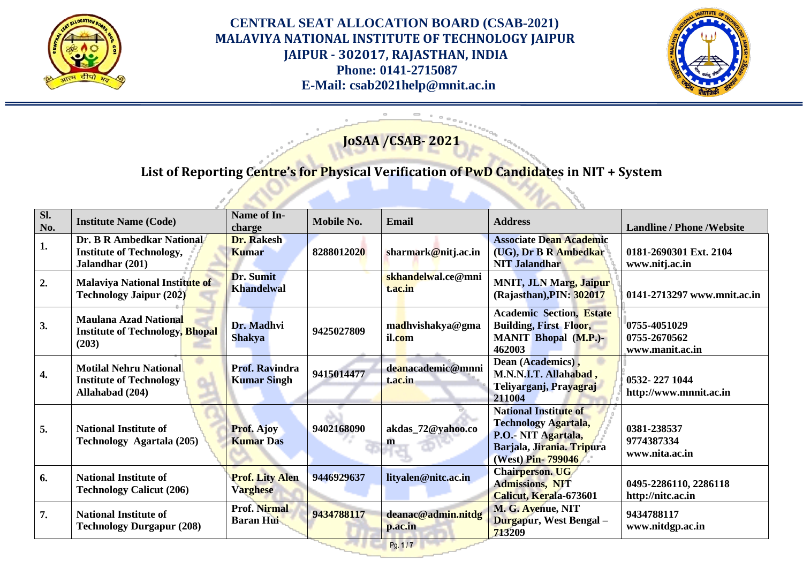



# **JoSAA /CSAB- 2021**

# **List of Reporting Centre's for Physical Verification of PwD Candidates in NIT + System**

| Sl.<br>No.         | <b>Institute Name (Code)</b>                                                       | Name of In-<br>charge                       | Mobile No. | <b>Email</b>                  | <b>Address</b>                                                                                                                        | <b>Landline / Phone / Website</b>               |
|--------------------|------------------------------------------------------------------------------------|---------------------------------------------|------------|-------------------------------|---------------------------------------------------------------------------------------------------------------------------------------|-------------------------------------------------|
| 1.                 | Dr. B R Ambedkar National<br><b>Institute of Technology,</b><br>Jalandhar (201)    | <b>Dr. Rakesh</b><br><b>Kumar</b>           | 8288012020 | sharmark@nitj.ac.in           | <b>Associate Dean Academic</b><br>(UG), Dr B R Ambedkar<br><b>NIT Jalandhar</b>                                                       | 0181-2690301 Ext. 2104<br>www.nitj.ac.in        |
| 2.                 | Malaviya National Institute of<br><b>Technology Jaipur (202)</b>                   | Dr. Sumit<br><b>Khandelwal</b>              |            | skhandelwal.ce@mni<br>t.ac.in | <b>MNIT, JLN Marg, Jaipur</b><br>(Rajasthan), PIN: 302017                                                                             | 0141-2713297 www.mnit.ac.in                     |
| 3.                 | Maulana Azad National<br><b>Institute of Technology, Bhopal</b><br>(203)           | Dr. Madhvi<br><b>Shakya</b>                 | 9425027809 | madhvishakya@gma<br>il.com    | <b>Academic Section, Estate</b><br><b>Building, First Floor,</b><br><b>MANIT Bhopal (M.P.)-</b><br>462003                             | 0755-4051029<br>0755-2670562<br>www.manit.ac.in |
| $\boldsymbol{4}$ . | <b>Motilal Nehru National</b><br><b>Institute of Technology</b><br>Allahabad (204) | <b>Prof. Ravindra</b><br><b>Kumar Singh</b> | 9415014477 | deanacademic@mnni<br>t.ac.in  | Dean (Academics),<br>M.N.N.I.T. Allahabad,<br>Teliyarganj, Prayagraj<br>211004                                                        | 0532-227 1044<br>http://www.mnnit.ac.in         |
| 5.                 | <b>National Institute of</b><br>Technology Agartala (205)                          | <b>Prof. Ajoy</b><br><b>Kumar Das</b>       | 9402168090 | akdas_72@yahoo.co<br>m        | <b>National Institute of</b><br><b>Technology Agartala,</b><br>P.O.- NIT Agartala,<br>Barjala, Jirania. Tripura<br>(West) Pin- 799046 | 0381-238537<br>9774387334<br>www.nita.ac.in     |
| 6.                 | <b>National Institute of</b><br><b>Technology Calicut (206)</b>                    | <b>Prof. Lity Alen</b><br><b>Varghese</b>   | 9446929637 | lityalen@nitc.ac.in           | <b>Chairperson. UG</b><br><b>Admissions, NIT</b><br>Calicut, Kerala-673601                                                            | 0495-2286110, 2286118<br>http://nitc.ac.in      |
| 7.                 | <b>National Institute of</b><br><b>Technology Durgapur (208)</b>                   | <b>Prof. Nirmal</b><br><b>Baran Hui</b>     | 9434788117 | deanac@admin.nitdg<br>p.ac.in | M. G. Avenue, NIT<br>Durgapur, West Bengal -<br>713209                                                                                | 9434788117<br>www.nitdgp.ac.in                  |

Pg. **1** / **7**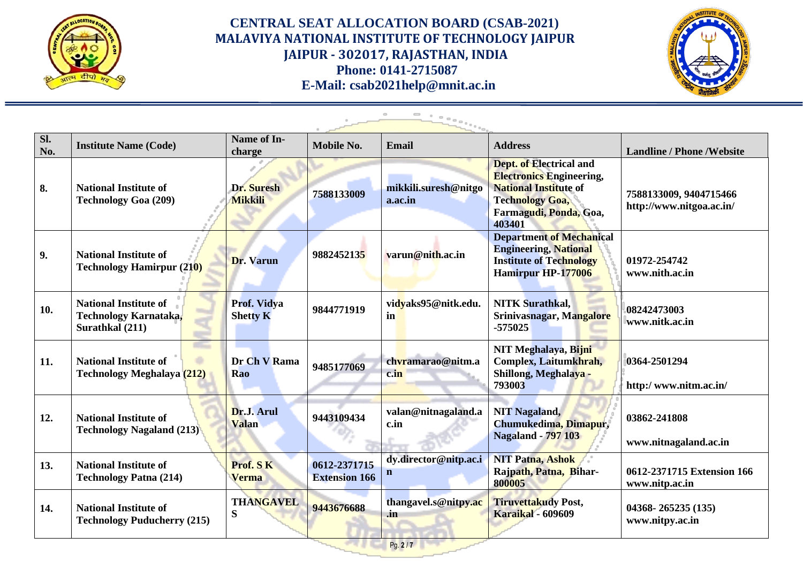



| Sl.<br>No. | <b>Institute Name (Code)</b>                                             | Name of In-<br>charge          | Mobile No.                           | <b>Email</b>                          | <b>Address</b>                                                                                                                                                  | <b>Landline / Phone / Website</b>                  |
|------------|--------------------------------------------------------------------------|--------------------------------|--------------------------------------|---------------------------------------|-----------------------------------------------------------------------------------------------------------------------------------------------------------------|----------------------------------------------------|
| 8.         | <b>National Institute of</b><br><b>Technology Goa (209)</b>              | Dr. Suresh<br><b>Mikkili</b>   | 7588133009                           | mikkili.suresh@nitgo<br>a.ac.in       | <b>Dept. of Electrical and</b><br><b>Electronics Engineering,</b><br><b>National Institute of</b><br><b>Technology Goa,</b><br>Farmagudi, Ponda, Goa,<br>403401 | 7588133009, 9404715466<br>http://www.nitgoa.ac.in/ |
| 9.         | <b>National Institute of</b><br><b>Technology Hamirpur (210)</b>         | Dr. Varun                      | 9882452135                           | varun@nith.ac.in                      | <b>Department of Mechanical</b><br><b>Engineering, National</b><br><b>Institute of Technology</b><br>Hamirpur HP-177006                                         | 01972-254742<br>www.nith.ac.in                     |
| 10.        | <b>National Institute of</b><br>Technology Karnataka,<br>Surathkal (211) | Prof. Vidya<br><b>Shetty K</b> | 9844771919                           | vidyaks95@nitk.edu.<br>in             | <b>NITK Surathkal.</b><br>Srinivasnagar, Mangalore<br>$-575025$                                                                                                 | 08242473003<br>www.nitk.ac.in                      |
| 11.        | <b>National Institute of</b><br><b>Technology Meghalaya (212)</b>        | Dr Ch V Rama<br>Rao            | 9485177069                           | chvramarao@nitm.a<br>c.in             | NIT Meghalaya, Bijni<br>Complex, Laitumkhrah,<br>Shillong, Meghalaya -<br>793003                                                                                | 0364-2501294<br>http:/www.nitm.ac.in/              |
| 12.        | <b>National Institute of</b><br><b>Technology Nagaland (213)</b>         | Dr.J. Arul<br><b>Valan</b>     | 9443109434                           | valan@nitnagaland.a<br>c.in           | <b>NIT Nagaland,</b><br>Chumukedima, Dimapur,<br><b>Nagaland - 797 103</b>                                                                                      | 03862-241808<br>www.nitnagaland.ac.in              |
| 13.        | <b>National Institute of</b><br><b>Technology Patna (214)</b>            | Prof. SK<br><b>Verma</b>       | 0612-2371715<br><b>Extension 166</b> | dy.director@nitp.ac.i<br>$\mathbf n$  | <b>NIT Patna, Ashok</b><br>Rajpath, Patna, Bihar-<br>800005                                                                                                     | 0612-2371715 Extension 166<br>www.nitp.ac.in       |
| 14.        | <b>National Institute of</b><br><b>Technology Puducherry (215)</b>       | <b>THANGAVEL</b><br>S          | 9443676688                           | thangavel.s@nitpy.ac<br>$\mathbf{in}$ | <b>Tiruvettakudy Post,</b><br><b>Karaikal - 609609</b>                                                                                                          | 04368-265235 (135)<br>www.nitpy.ac.in              |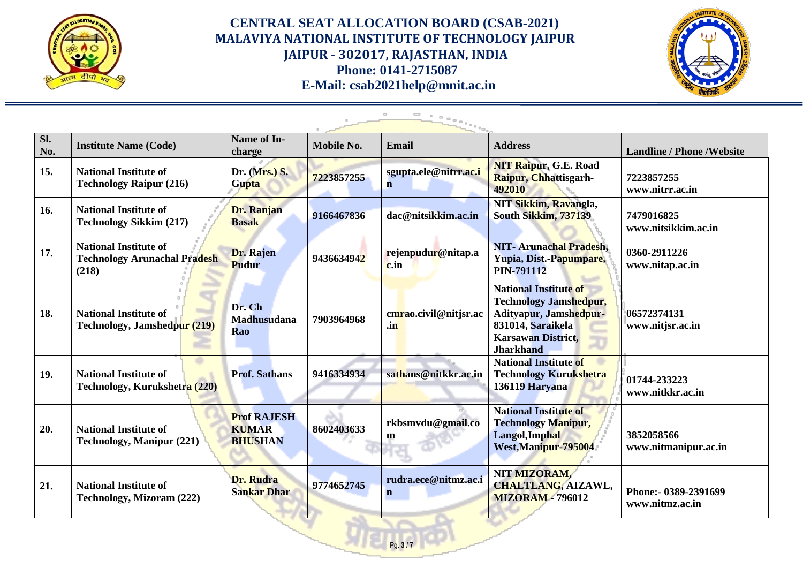



| Sl.<br>No. | <b>Institute Name (Code)</b>                                                 | Name of In-<br>charge                                | Mobile No. | <b>Email</b>                         | <b>Address</b>                                                                                                                                                | <b>Landline / Phone / Website</b>        |
|------------|------------------------------------------------------------------------------|------------------------------------------------------|------------|--------------------------------------|---------------------------------------------------------------------------------------------------------------------------------------------------------------|------------------------------------------|
| 15.        | <b>National Institute of</b><br><b>Technology Raipur (216)</b>               | Dr. (Mrs.) S.<br><b>Gupta</b>                        | 7223857255 | sgupta.ele@nitrr.ac.i<br>$\mathbf n$ | <b>NIT Raipur, G.E. Road</b><br><b>Raipur, Chhattisgarh-</b><br>492010                                                                                        | 7223857255<br>www.nitrr.ac.in            |
| 16.        | <b>National Institute of</b><br><b>Technology Sikkim (217)</b>               | Dr. Ranjan<br><b>Basak</b>                           | 9166467836 | dac@nitsikkim.ac.in                  | NIT Sikkim, Ravangla,<br>South Sikkim, 737139                                                                                                                 | 7479016825<br>www.nitsikkim.ac.in        |
| 17.        | <b>National Institute of</b><br><b>Technology Arunachal Pradesh</b><br>(218) | Dr. Rajen<br><b>Pudur</b>                            | 9436634942 | rejenpudur@nitap.a<br>c.in           | <b>NIT-Arunachal Pradesh,</b><br>Yupia, Dist.-Papumpare,<br><b>PIN-791112</b>                                                                                 | 0360-2911226<br>www.nitap.ac.in          |
| 18.        | <b>National Institute of</b><br>Technology, Jamshedpur (219)                 | Dr. Ch<br><b>Madhusudana</b><br>Rao                  | 7903964968 | cmrao.civil@nitjsr.ac<br>.in         | <b>National Institute of</b><br><b>Technology Jamshedpur,</b><br>Adityapur, Jamshedpur-<br>831014, Saraikela<br><b>Karsawan District,</b><br><b>Jharkhand</b> | 06572374131<br>www.nitjsr.ac.in          |
| 19.        | <b>National Institute of</b><br>Technology, Kurukshetra (220)                | <b>Prof. Sathans</b>                                 | 9416334934 | sathans@nitkkr.ac.in                 | <b>National Institute of</b><br><b>Technology Kurukshetra</b><br>136119 Haryana                                                                               | 01744-233223<br>www.nitkkr.ac.in         |
| 20.        | <b>National Institute of</b><br><b>Technology, Manipur (221)</b>             | <b>Prof RAJESH</b><br><b>KUMAR</b><br><b>BHUSHAN</b> | 8602403633 | rkbsmvdu@gmail.co<br>m               | <b>National Institute of</b><br><b>Technology Manipur,</b><br>Langol, Imphal<br>West, Manipur-795004                                                          | 3852058566<br>www.nitmanipur.ac.in       |
| 21.        | <b>National Institute of</b><br>Technology, Mizoram (222)                    | Dr. Rudra<br><b>Sankar Dhar</b>                      | 9774652745 | rudra.ece@nitmz.ac.i<br>$\mathbf{n}$ | NIT MIZORAM,<br><b>CHALTLANG, AIZAWL,</b><br><b>MIZORAM - 796012</b>                                                                                          | Phone: - 0389-2391699<br>www.nitmz.ac.in |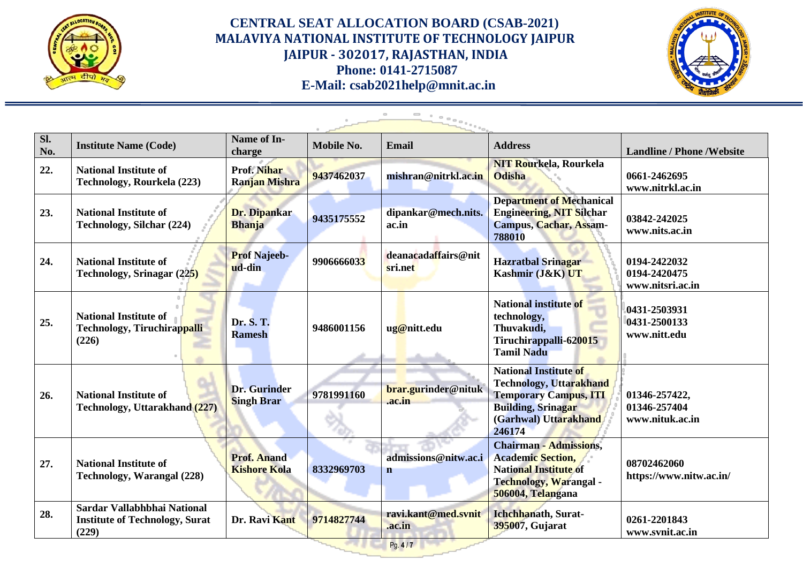



| SI.<br>No. | <b>Institute Name (Code)</b>                                                  | Name of In-<br>charge                     | <b>Mobile No.</b> | <b>Email</b>                   | <b>Address</b>                                                                                                                                                 | <b>Landline / Phone / Website</b>                |
|------------|-------------------------------------------------------------------------------|-------------------------------------------|-------------------|--------------------------------|----------------------------------------------------------------------------------------------------------------------------------------------------------------|--------------------------------------------------|
| 22.        | <b>National Institute of</b><br>Technology, Rourkela (223)                    | Prof. Nihar<br><b>Ranjan Mishra</b>       | 9437462037        | mishran@nitrkl.ac.in           | <b>NIT Rourkela, Rourkela</b><br><b>Odisha</b>                                                                                                                 | 0661-2462695<br>www.nitrkl.ac.in                 |
| 23.        | <b>National Institute of</b><br>Technology, Silchar (224)                     | Dr. Dipankar<br><b>Bhanja</b>             | 9435175552        | dipankar@mech.nits.<br>ac.in   | <b>Department of Mechanical</b><br><b>Engineering, NIT Silchar</b><br><b>Campus, Cachar, Assam-</b><br>788010                                                  | 03842-242025<br>www.nits.ac.in                   |
| 24.        | <b>National Institute of</b><br>Technology, Srinagar (225)                    | <b>Prof Najeeb-</b><br>ud-din             | 9906666033        | deanacadaffairs@nit<br>sri.net | <b>Hazratbal Srinagar</b><br>Kashmir (J&K) UT                                                                                                                  | 0194-2422032<br>0194-2420475<br>www.nitsri.ac.in |
| 25.        | <b>National Institute of</b><br>Technology, Tiruchirappalli<br>(226)          | Dr. S. T.<br><b>Ramesh</b>                | 9486001156        | ug@nitt.edu                    | <b>National institute of</b><br>technology,<br>Thuvakudi,<br>Tiruchirappalli-620015<br><b>Tamil Nadu</b>                                                       | 0431-2503931<br>0431-2500133<br>www.nitt.edu     |
| 26.        | <b>National Institute of</b><br>Technology, Uttarakhand (227)                 | <b>Dr.</b> Gurinder<br><b>Singh Brar</b>  | 9781991160        | brar.gurinder@nituk<br>.ac.in  | <b>National Institute of</b><br><b>Technology, Uttarakhand</b><br><b>Temporary Campus, ITI</b><br><b>Building, Srinagar</b><br>(Garhwal) Uttarakhand<br>246174 | 01346-257422,<br>01346-257404<br>www.nituk.ac.in |
| 27.        | <b>National Institute of</b><br>Technology, Warangal (228)                    | <b>Prof. Anand</b><br><b>Kishore Kola</b> | 8332969703        | admissions@nitw.ac.i<br>n      | <b>Chairman - Admissions,</b><br><b>Academic Section,</b><br><b>National Institute of</b><br>Technology, Warangal -<br>506004, Telangana                       | 08702462060<br>https://www.nitw.ac.in/           |
| 28.        | Sardar Vallabhbhai National<br><b>Institute of Technology, Surat</b><br>(229) | Dr. Ravi Kant                             | 9714827744        | ravi.kant@med.svnit<br>.ac.in  | Ichchhanath, Surat-<br>395007, Gujarat                                                                                                                         | 0261-2201843<br>www.svnit.ac.in                  |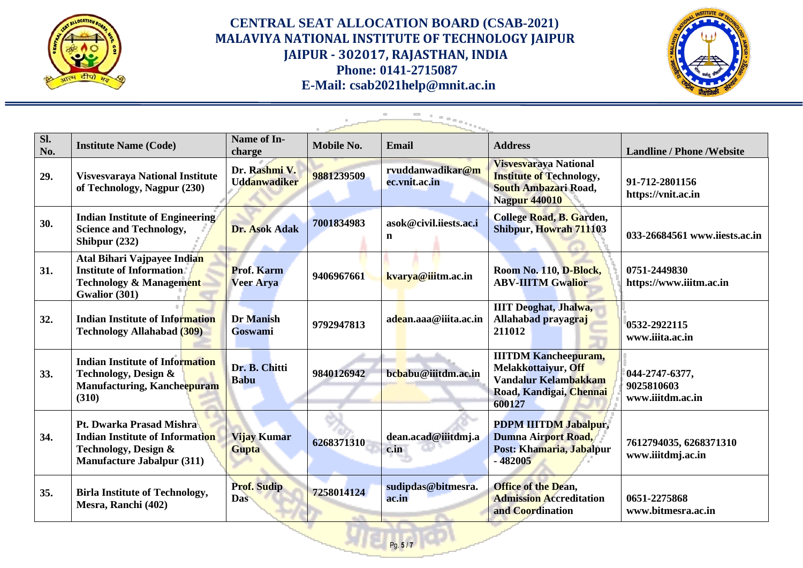



| Sl.<br>No. | <b>Institute Name (Code)</b>                                                                                                    | Name of In-<br>charge                 | Mobile No. | Email                             | <b>Address</b>                                                                                                                | <b>Landline / Phone / Website</b>                |
|------------|---------------------------------------------------------------------------------------------------------------------------------|---------------------------------------|------------|-----------------------------------|-------------------------------------------------------------------------------------------------------------------------------|--------------------------------------------------|
| 29.        | <b>Visvesvaraya National Institute</b><br>of Technology, Nagpur (230)                                                           | Dr. Rashmi V.<br><b>Uddanwadiker</b>  | 9881239509 | rvuddanwadikar@m<br>ec.vnit.ac.in | Visvesvaraya National<br><b>Institute of Technology,</b><br>South Ambazari Road,<br><b>Nagpur 440010</b>                      | 91-712-2801156<br>https://vnit.ac.in             |
| 30.        | <b>Indian Institute of Engineering</b><br><b>Science and Technology,</b><br>Shibpur $(232)$                                     | Dr. Asok Adak                         | 7001834983 | asok@civil.iiests.ac.i<br>n       | College Road, B. Garden,<br>Shibpur, Howrah 711103                                                                            | 033-26684561 www.iiests.ac.in                    |
| 31.        | Atal Bihari Vajpayee Indian<br><b>Institute of Information</b><br><b>Technology &amp; Management</b><br>Gwalior (301)           | <b>Prof. Karm</b><br><b>Veer Arya</b> | 9406967661 | kvarya@iiitm.ac.in                | Room No. 110, D-Block,<br><b>ABV-IIITM Gwalior</b>                                                                            | 0751-2449830<br>https://www.iiitm.ac.in          |
| 32.        | <b>Indian Institute of Information</b><br><b>Technology Allahabad (309)</b>                                                     | Dr Manish<br>Goswami                  | 9792947813 | adean.aaa@iiita.ac.in             | <b>IIIT Deoghat, Jhalwa,</b><br>Allahabad prayagraj<br>211012                                                                 | 0532-2922115<br>www.iiita.ac.in                  |
| 33.        | <b>Indian Institute of Information</b><br>Technology, Design &<br><b>Manufacturing, Kancheepuram</b><br>(310)                   | Dr. B. Chitti<br><b>Babu</b>          | 9840126942 | bcbabu@iiitdm.ac.in               | <b>IIITDM Kancheepuram,</b><br>Melakkottaiyur, Off<br>Vandalur Kelamb <mark>akkam</mark><br>Road, Kandigai, Chennai<br>600127 | 044-2747-6377,<br>9025810603<br>www.iiitdm.ac.in |
| 34.        | Pt. Dwarka Prasad Mishra<br><b>Indian Institute of Information</b><br>Technology, Design &<br><b>Manufacture Jabalpur (311)</b> | Vijay Kumar<br><b>Gupta</b>           | 6268371310 | dean.acad@iiitdmj.a<br>c.in       | PDPM IIITDM Jabalpur,<br>Dumna Airport Road,<br>Post: Khamaria, Jabalpur<br>$-482005$                                         | 7612794035, 6268371310<br>www.iiitdmj.ac.in      |
| 35.        | <b>Birla Institute of Technology,</b><br>Mesra, Ranchi (402)                                                                    | <b>Prof. Sudip</b><br>Das             | 7258014124 | sudipdas@bitmesra.<br>ac.in       | <b>Office of the Dean,</b><br><b>Admission Accreditation</b><br>and <b>Coordination</b>                                       | 0651-2275868<br>www.bitmesra.ac.in               |

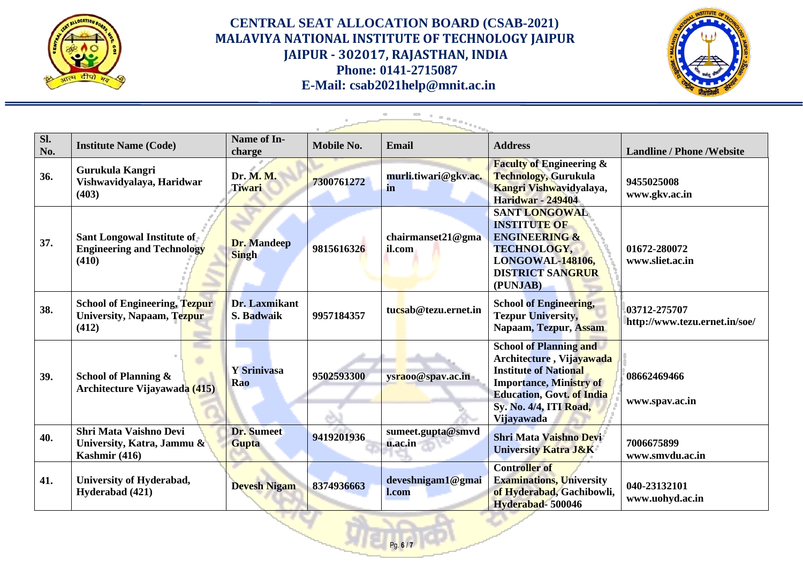



| SI.<br>No. | <b>Institute Name (Code)</b>                                                 | Name of In-<br>charge              | Mobile No. | <b>Email</b>                 | <b>Address</b>                                                                                                                                                                                                        | <b>Landline / Phone / Website</b>             |
|------------|------------------------------------------------------------------------------|------------------------------------|------------|------------------------------|-----------------------------------------------------------------------------------------------------------------------------------------------------------------------------------------------------------------------|-----------------------------------------------|
| 36.        | Gurukula Kangri<br>Vishwavidyalaya, Haridwar<br>(403)                        | Dr. M. M.<br>Tiwari                | 7300761272 | murli.tiwari@gkv.ac.<br>in   | <b>Faculty of Engineering &amp;</b><br>Technology, Gurukula<br>Kangri Vishwavidyalaya,<br><b>Haridwar - 249404</b>                                                                                                    | 9455025008<br>www.gkv.ac.in                   |
| 37.        | Sant Longowal Institute of<br><b>Engineering and Technology</b><br>(410)     | <b>Dr.</b> Mandeep<br><b>Singh</b> | 9815616326 | chairmanset21@gma<br>il.com  | <b>SANT LONGOWAL</b><br><b>INSTITUTE OF</b><br><b>ENGINEERING &amp;</b><br><b>TECHNOLOGY,</b><br>LONGOWAL-148106,<br><b>DISTRICT SANGRUR</b><br>(PUNJAB)                                                              | 01672-280072<br>www.sliet.ac.in               |
| 38.        | <b>School of Engineering, Tezpur</b><br>University, Napaam, Tezpur<br>(412)  | Dr. Laxmikant<br>S. Badwaik        | 9957184357 | tucsab@tezu.ernet.in         | <b>School of Engineering,</b><br><b>Tezpur University,</b><br>Napaam, Tezpur, Assam                                                                                                                                   | 03712-275707<br>http://www.tezu.ernet.in/soe/ |
| 39.        | School of Planning &<br><b>Architecture Vijayawada (415)</b>                 | Y Srinivasa<br>Rao                 | 9502593300 | ysraoo@spav.ac.in            | <b>School of Planning and</b><br>Architecture, Vija <mark>yawada</mark><br><b>Institute of National</b><br><b>Importance, Ministry of</b><br><b>Education, Govt. of India</b><br>Sy. No. 4/4, ITI Road,<br>Vijayawada | 08662469466<br>www.spav.ac.in                 |
| 40.        | <b>Shri Mata Vaishno Devi</b><br>University, Katra, Jammu &<br>Kashmir (416) | <b>Dr.</b> Sumeet<br><b>Gupta</b>  | 9419201936 | sumeet.gupta@smvd<br>u.ac.in | <b>Shri Mata Vaishno Devi</b><br><b>University Katra J&amp;K</b>                                                                                                                                                      | 7006675899<br>www.smvdu.ac.in                 |
| 41.        | University of Hyderabad,<br>Hyderabad (421)                                  | <b>Devesh Nigam</b>                | 8374936663 | deveshnigam1@gmai<br>l.com   | <b>Controller</b> of<br><b>Examinations, University</b><br>of Hyderabad, Gachibowli,<br>Hyderabad-500046                                                                                                              | 040-23132101<br>www.uohyd.ac.in               |